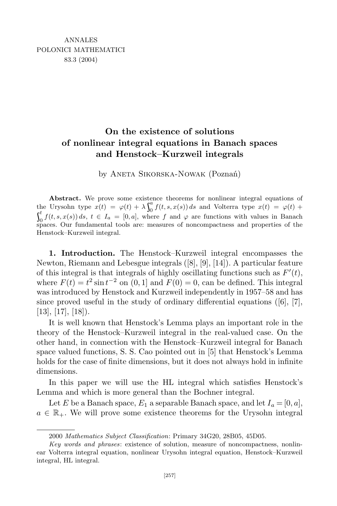## **On the existence of solutions of nonlinear integral equations in Banach spaces and Henstock–Kurzweil integrals**

by Aneta Sikorska-Nowak (Poznań)

**Abstract.** We prove some existence theorems for nonlinear integral equations of the Urysohn type  $\dot{x}(t) = \varphi(t) + \lambda \int_0^a f(t, s) dt$  $\int_{0}^{a} f(t, s, x(s)) ds$  and Volterra type  $x(t) = \varphi(t) + \varphi(t)$  $f^t$   $f(t)$  $\int_{0}^{b} f(t, s, x(s)) ds, t \in I_a = [0, a],$  where f and  $\varphi$  are functions with values in Banach spaces. Our fundamental tools are: measures of noncompactness and properties of the Henstock–Kurzweil integral.

**1. Introduction.** The Henstock–Kurzweil integral encompasses the Newton, Riemann and Lebesgue integrals ([8], [9], [14]). A particular feature of this integral is that integrals of highly oscillating functions such as  $F'(t)$ , where  $F(t) = t^2 \sin t^{-2}$  on  $(0, 1]$  and  $F(0) = 0$ , can be defined. This integral was introduced by Henstock and Kurzweil independently in 1957–58 and has since proved useful in the study of ordinary differential equations  $([6], [7],$  $[13]$ ,  $[17]$ ,  $[18]$ ).

It is well known that Henstock's Lemma plays an important role in the theory of the Henstock–Kurzweil integral in the real-valued case. On the other hand, in connection with the Henstock–Kurzweil integral for Banach space valued functions, S. S. Cao pointed out in [5] that Henstock's Lemma holds for the case of finite dimensions, but it does not always hold in infinite dimensions.

In this paper we will use the HL integral which satisfies Henstock's Lemma and which is more general than the Bochner integral.

Let *E* be a Banach space,  $E_1$  a separable Banach space, and let  $I_a = [0, a]$ ,  $a \in \mathbb{R}_+$ . We will prove some existence theorems for the Urysohn integral

<sup>2000</sup> *Mathematics Subject Classification*: Primary 34G20, 28B05, 45D05.

*Key words and phrases*: existence of solution, measure of noncompactness, nonlinear Volterra integral equation, nonlinear Urysohn integral equation, Henstock–Kurzweil integral, HL integral.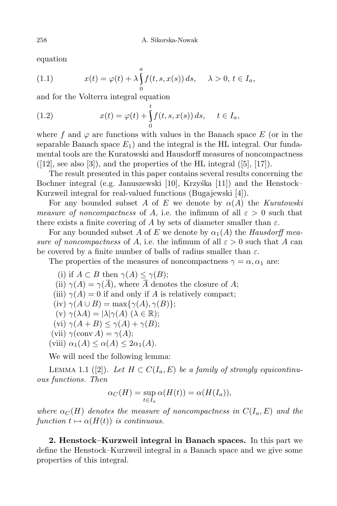equation

(1.1) 
$$
x(t) = \varphi(t) + \lambda \int_{0}^{a} f(t, s, x(s)) ds, \quad \lambda > 0, t \in I_a,
$$

and for the Volterra integral equation

(1.2) 
$$
x(t) = \varphi(t) + \int_0^t f(t, s, x(s)) ds, \quad t \in I_a,
$$

where f and  $\varphi$  are functions with values in the Banach space E (or in the separable Banach space  $E_1$ ) and the integral is the HL integral. Our fundamental tools are the Kuratowski and Hausdorff measures of noncompactness  $([12], \text{ see also } [3])$ , and the properties of the HL integral  $([5], [17])$ .

The result presented in this paper contains several results concerning the Bochner integral (e.g. Januszewski  $[10]$ , Krzyśka  $[11]$ ) and the Henstock– Kurzweil integral for real-valued functions (Bugajewski [4]).

For any bounded subset *A* of *E* we denote by  $\alpha(A)$  the *Kuratowski measure of noncompactness* of *A*, i.e. the infimum of all  $\varepsilon > 0$  such that there exists a finite covering of *A* by sets of diameter smaller than  $\varepsilon$ .

For any bounded subset *A* of *E* we denote by  $\alpha_1(A)$  the *Hausdorff* mea*sure of noncompactness* of *A*, i.e. the infimum of all  $\varepsilon > 0$  such that *A* can be covered by a finite number of balls of radius smaller than *ε*.

The properties of the measures of noncompactness  $\gamma = \alpha$ ,  $\alpha_1$  are:

(i) if 
$$
A \subset B
$$
 then  $\gamma(A) \leq \gamma(B)$ ;  
\n(ii)  $\gamma(A) = \gamma(\overline{A})$ , where  $\overline{A}$  denotes the closure of  $A$ ;  
\n(iii)  $\gamma(A) = 0$  if and only if  $A$  is relatively compact;  
\n(iv)  $\gamma(A \cup B) = \max{\gamma(A), \gamma(B)}$ ;  
\n(v)  $\gamma(\lambda A) = |\lambda|\gamma(A) \ (\lambda \in \mathbb{R})$ ;  
\n(vi)  $\gamma(A + B) \leq \gamma(A) + \gamma(B)$ ;  
\n(vii)  $\gamma(\text{conv } A) = \gamma(A)$ ;  
\n(iii)  $\gamma(A) \leq \gamma(A) + \gamma(B)$ 

 $(viii)$   $\alpha_1(A) \leq \alpha(A) \leq 2\alpha_1(A)$ .

We will need the following lemma:

LEMMA 1.1 ([2]). Let  $H \subset C(I_a, E)$  be a family of strongly equicontinu*ous functions. Then*

$$
\alpha_C(H) = \sup_{t \in I_a} \alpha(H(t)) = \alpha(H(I_a)),
$$

*where*  $\alpha_C(H)$  *denotes the measure of noncompactness in*  $C(I_a, E)$  *and the function*  $t \mapsto \alpha(H(t))$  *is continuous.* 

**2. Henstock–Kurzweil integral in Banach spaces.** In this part we define the Henstock–Kurzweil integral in a Banach space and we give some properties of this integral.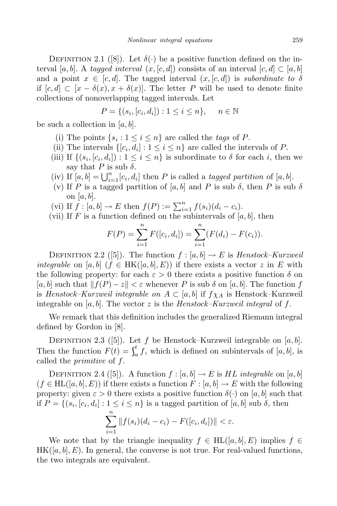DEFINITION 2.1 ([8]). Let  $\delta(\cdot)$  be a positive function defined on the interval [a, b]. A tagged interval  $(x, [c, d])$  consists of an interval  $[c, d] \subset [a, b]$ and a point  $x \in [c, d]$ . The tagged interval  $(x, [c, d])$  is *subordinate to*  $\delta$ if  $[c, d]$  ⊂  $[x - \delta(x), x + \delta(x)]$ . The letter *P* will be used to denote finite collections of nonoverlapping tagged intervals. Let

$$
P = \{(s_i, [c_i, d_i]) : 1 \le i \le n\}, \quad n \in \mathbb{N}
$$

be such a collection in [*a, b*].

- (i) The points  $\{s_i : 1 \le i \le n\}$  are called the *tags* of *P*.
- (ii) The intervals  $\{[c_i, d_i] : 1 \leq i \leq n\}$  are called the intervals of *P*.
- (iii) If  $\{(s_i, [c_i, d_i]) : 1 \leq i \leq n\}$  is subordinate to  $\delta$  for each *i*, then we say that *P* is sub  $\delta$ .
- (iv) If  $[a, b] = \bigcup_{i=1}^{n} [c_i, d_i]$  then *P* is called a *tagged partition* of  $[a, b]$ .
- (v) If *P* is a tagged partition of [a, b] and *P* is sub  $\delta$ , then *P* is sub  $\delta$ on [a, b].
- $(vi)$  If  $f : [a, b] \to E$  then  $f(P) := \sum_{i=1}^{n} f(s_i)(d_i c_i)$ .
- (vii) If *F* is a function defined on the subintervals of  $[a, b]$ , then

$$
F(P) = \sum_{i=1}^{n} F([c_i, d_i]) = \sum_{i=1}^{n} (F(d_i) - F(c_i)).
$$

DEFINITION 2.2 ([5]). The function  $f : [a, b] \rightarrow E$  is *Henstock–Kurzweil integrable* on [*a, b*] ( $f \in HK([a, b], E)$ ) if there exists a vector *z* in *E* with the following property: for each  $\varepsilon > 0$  there exists a positive function  $\delta$  on  $[a, b]$  such that  $|| f(P) - z || < \varepsilon$  whenever *P* is sub  $\delta$  on  $[a, b]$ . The function *f* is *Henstock–Kurzweil integrable on A ⊂* [*a, b*] if *fχ<sup>A</sup>* is Henstock–Kurzweil integrable on  $[a, b]$ . The vector  $z$  is the *Henstock–Kurzweil* integral of  $f$ .

We remark that this definition includes the generalized Riemann integral defined by Gordon in [8].

DEFINITION 2.3 ([5]). Let *f* be Henstock–Kurzweil integrable on [a, b]. Then the function  $F(t) = \int_a^t f$ , w  $a_a^{\prime}$ , which is defined on subintervals of  $[a, b]$ , is called the *primitive* of *f*.

DEFINITION 2.4 ([5]). A function  $f : [a, b] \rightarrow E$  is *HL integrable* on [a, b]  $(f \in HL([a, b], E))$  if there exists a function  $F : [a, b] \to E$  with the following property: given  $\varepsilon > 0$  there exists a positive function  $\delta(\cdot)$  on [a, b] such that if  $P = \{(s_i, [c_i, d_i] : 1 \leq i \leq n\}$  is a tagged partition of  $[a, b]$  sub  $\delta$ , then

$$
\sum_{i=1}^n \|f(s_i)(d_i - c_i) - F([c_i, d_i])\| < \varepsilon.
$$

We note that by the triangle inequality  $f \in HL([a, b], E)$  implies  $f \in$  $HK([a, b], E)$ . In general, the converse is not true. For real-valued functions, the two integrals are equivalent.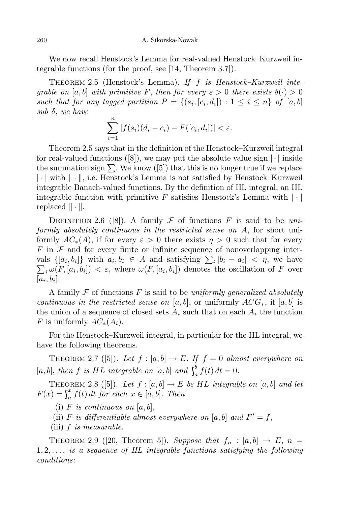260 A. Sikorska-Nowak

We now recall Henstock's Lemma for real-valued Henstock–Kurzweil integrable functions (for the proof, see [14, Theorem 3.7]).

Theorem 2.5 (Henstock's Lemma). *If f is Henstock–Kurzweil integrable on* [*a, b*] *with primitive F, then for every*  $\varepsilon > 0$  *there exists*  $\delta(\cdot) > 0$ such that for any tagged partition  $P = \{(s_i, [c_i, d_i]) : 1 \leq i \leq n\}$  of  $[a, b]$ *sub δ*, *we have*

$$
\sum_{i=1}^{n} |f(s_i)(d_i - c_i) - F([c_i, d_i])| < \varepsilon.
$$

Theorem 2.5 says that in the definition of the Henstock–Kurzweil integral for real-valued functions ([8]), we may put the absolute value sign *| · |* inside the summation sign  $\Sigma$ . We know ([5]) that this is no longer true if we replace *| · |* with *k · k*, i.e. Henstock's Lemma is not satisfied by Henstock–Kurzweil integrable Banach-valued functions. By the definition of HL integral, an HL integrable function with primitive *F* satisfies Henstock's Lemma with *| · |* replaced  $\|\cdot\|$ .

DEFINITION 2.6 ([8]). A family  $\mathcal F$  of functions  $F$  is said to be *uniformly absolutely continuous in the restricted sense on A*, for short uniformly  $AC_*(A)$ , if for every  $\varepsilon > 0$  there exists  $\eta > 0$  such that for every *F* in *F* and for every finite or infinite sequence of nonoverlapping intervals  $\{[a_i, b_i]\}$  with  $a_i, b_i \in A$  and satisfying  $\sum_i |b_i - a_i| < \eta$ , we have  $\sum_i \omega(F, [a_i, b_i]) < \varepsilon$ , where  $\omega(F, [a_i, b_i])$  denotes the oscillation of *F* over  $[a_i, b_i]$ .

A family *F* of functions *F* is said to be *uniformly generalized absolutely continuous* in the restricted sense on [a, b], or uniformly  $ACG_*$ , if [a, b] is the union of a sequence of closed sets  $A_i$  such that on each  $A_i$  the function *F* is uniformly  $AC<sub>*</sub>(A<sub>i</sub>)$ .

For the Henstock–Kurzweil integral, in particular for the HL integral, we have the following theorems.

THEOREM 2.7 ([5]). Let  $f : [a, b] \rightarrow E$ . If  $f = 0$  almost everywhere on  $[a, b]$ , then  $f$  is  $HL$  integrable on  $[a, b]$  and  $\int_a^b f(t)$  $\int_{a}^{b} f(t) dt = 0.$ 

THEOREM 2.8 ([5]). Let  $f : [a, b] \to E$  be HL integrable on  $[a, b]$  and let  $F(x) = \int_a^x f(t)$  $a_a^x f(t) dt$  *for each*  $x \in [a, b]$ *. Then* 

- (i)  $F$  *is continuous on*  $[a, b]$ ,
- (ii) *F* is differentiable almost everywhere on [a, b] and  $F' = f$ ,
- (iii) *f is measurable.*

THEOREM 2.9 ([20, Theorem 5]). Suppose that  $f_n : [a, b] \rightarrow E$ ,  $n =$ 1*,* 2*, . . . , is a sequence of HL integrable functions satisfying the following conditions*: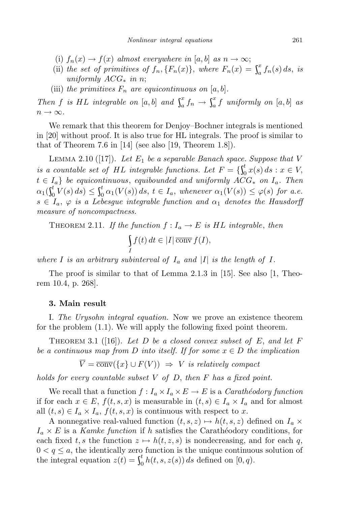- (i)  $f_n(x) \to f(x)$  almost everywhere in [a, b] as  $n \to \infty$ ;
- (ii) the set of primitives of  $f_n$ ,  $\{F_n(x)\}$ , where  $F_n(x) = \int_a^x f_n(s)$  $\int_a^x f_n(s) \, ds$ , *is uniformly ACG<sup>∗</sup> in n*;
- (iii) the primitives  $F_n$  are equicontinuous on  $[a, b]$ .

*Then f is HL integrable on* [a, b] *and*  $\int_a^x f_n$ .  $\int_a^x f_n \to \int_a^x f$  *u*  $a^x$ <sub>*a*</sub> *f uniformly on*  $[a, b]$  *as*  $n \rightarrow \infty$ .

We remark that this theorem for Denjoy–Bochner integrals is mentioned in [20] without proof. It is also true for HL integrals. The proof is similar to that of Theorem 7.6 in  $[14]$  (see also [19, Theorem 1.8]).

LEMMA 2.10 ([17]). Let  $E_1$  be a separable Banach space. Suppose that V *is a countable set of HL integrable functions.* Let  $F = \{ \int_0^t x(s) \}$  $\int_{0}^{b} x(s) ds : x \in V$ ,  $t \in I_a$  *be equicontinuous, equibounded and uniformly*  $\overline{ACG}$ *<sup>\*</sup> on*  $I_a$ *. Then*  $\alpha_1(\int_0^t V(s)$  $\int_0^t V(s) ds$   $\leq \int_0^t \alpha_1(V)$  $\int_{0}^{b} \alpha_1(V(s)) ds, t \in I_a$ , whenever  $\alpha_1(V(s)) \leq \varphi(s)$  for a.e.  $s \in I_a$ ,  $\varphi$  *is a Lebesgue integrable function and*  $\alpha_1$  *denotes the Hausdorff measure of noncompactness.*

THEOREM 2.11. *If the function*  $f: I_a \to E$  *is HL integrable, then* 

$$
\int\limits_I f(t) \, dt \in |I| \, \overline{\text{conv}} \, f(I),
$$

*where*  $I$  *is* an arbitrary subinterval of  $I_a$  and  $|I|$  *is* the length of  $I$ .

The proof is similar to that of Lemma 2.1.3 in [15]. See also [1, Theorem 10.4, p. 268].

## **3. Main result**

I. *The Urysohn integral equation.* Now we prove an existence theorem for the problem (1.1). We will apply the following fixed point theorem.

THEOREM 3.1 ([16]). Let D be a closed convex subset of E, and let F *be a continuous map from D into itself. If for some x ∈ D the implication*

$$
\overline{V} = \overline{\text{conv}}(\{x\} \cup F(V)) \Rightarrow V \text{ is relatively compact}
$$

*holds for every countable subset V of D*, *then F has a fixed point.*

We recall that a function  $f: I_a \times I_a \times E \to E$  is a *Carathéodory function* if for each *x* ∈ *E*,  $f(t, s, x)$  is measurable in  $(t, s)$  ∈  $I_a$  ×  $I_a$  and for almost all  $(t, s) \in I_a \times I_a$ ,  $f(t, s, x)$  is continuous with respect to *x*.

A nonnegative real-valued function  $(t, s, z) \mapsto h(t, s, z)$  defined on  $I_a \times I_a$  $I_a \times E$  is a *Kamke function* if *h* satisfies the Carathéodory conditions, for each fixed  $t, s$  the function  $z \mapsto h(t, z, s)$  is nondecreasing, and for each q,  $0 < q \leq a$ , the identically zero function is the unique continuous solution of the integral equation  $z(t) = \int_0^t h(t)$ ,  $\binom{b}{0} h(t, s, z(s)) ds$  defined on  $[0, q)$ .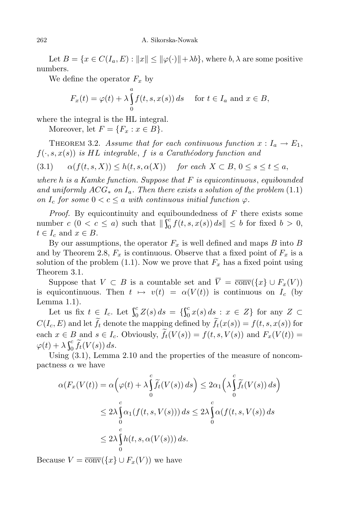Let  $B = \{x \in C(I_a, E) : ||x|| \le ||\varphi(\cdot)|| + \lambda b\}$ , where  $b, \lambda$  are some positive numbers.

We define the operator  $F_x$  by

$$
F_x(t) = \varphi(t) + \lambda \int_0^a f(t, s, x(s)) ds \quad \text{for } t \in I_a \text{ and } x \in B,
$$

where the integral is the HL integral.

Moreover, let  $F = \{F_x : x \in B\}.$ 

THEOREM 3.2. *Assume that for each continuous function*  $x: I_a \to E_1$ ,  $f(\cdot, s, x(s))$  *is HL integrable*, *f is a Carathéodory function* and

(3.1)  $\alpha(f(t,s,X)) \leq h(t,s,\alpha(X))$  for each  $X \subset B, 0 \leq s \leq t \leq a$ ,

*where h is a Kamke function. Suppose that F is equicontinuous*, *equibounded and uniformly*  $ACG_*$  *on*  $I_a$ *. Then there exists a solution of the problem* (1.1) *on*  $I_c$  *for some*  $0 < c \le a$  *with continuous initial function*  $\varphi$ *.* 

*Proof.* By equicontinuity and equiboundedness of *F* there exists some number  $c$   $(0 < c \le a)$  such that  $\iint_0^c f(t,$  $\int_{0}^{c} f(t, s, x(s)) ds \leq b$  for fixed  $b > 0$ ,  $t \in I_c$  and  $x \in B$ .

By our assumptions, the operator  $F_x$  is well defined and maps  $B$  into  $B$ and by Theorem 2.8,  $F_x$  is continuous. Observe that a fixed point of  $F_x$  is a solution of the problem  $(1.1)$ . Now we prove that  $F_x$  has a fixed point using Theorem 3.1.

Suppose that  $V \subset B$  is a countable set and  $\overline{V} = \overline{\text{conv}}(\{x\} \cup F_x(V))$ is equicontinuous. Then  $t \mapsto v(t) = \alpha(V(t))$  is continuous on  $I_c$  (by Lemma 1.1).

Let us fix  $t \in I_c$ . Let  $\int_0^c Z(s)$  $\int_{0}^{c} Z(s) ds = \{ \int_{0}^{c} x(s)$  $\int_{0}^{c} x(s) ds$  :  $x \in Z$ } for any  $Z \subset$  $C(I_c, E)$  and let  $\tilde{f}_t$  denote the mapping defined by  $\tilde{f}_t(x(s)) = f(t, s, x(s))$  for each  $x \in B$  and  $s \in I_c$ . Obviously,  $\widetilde{f}_t(V(s)) = f(t, s, V(s))$  and  $F_x(V(t)) =$  $\varphi(t) + \lambda \int_0^c \widetilde{f}_t(V)$  $\int_0^{\epsilon} f_t(V(s)) ds.$ 

Using (3.1), Lemma 2.10 and the properties of the measure of noncompactness  $\alpha$  we have

$$
\alpha(F_x(V(t)) = \alpha\left(\varphi(t) + \lambda\int_0^c \widetilde{f}_t(V(s)) ds\right) \le 2\alpha_1\left(\lambda\int_0^c \widetilde{f}_t(V(s)) ds\right)
$$
  

$$
\le 2\lambda\int_0^c \alpha_1(f(t, s, V(s))) ds \le 2\lambda\int_0^c \alpha(f(t, s, V(s)) ds
$$
  

$$
\le 2\lambda\int_0^c h(t, s, \alpha(V(s))) ds.
$$

Because  $V = \overline{\text{conv}}(\{x\} \cup F_x(V))$  we have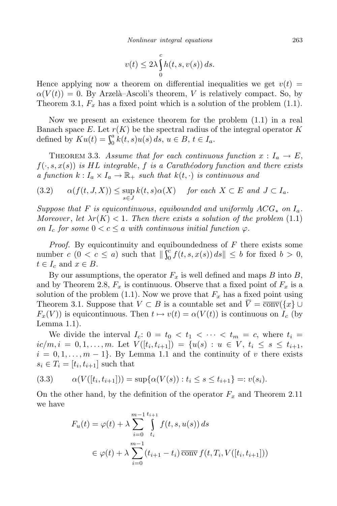$$
v(t) \le 2\lambda \int_{0}^{c} h(t, s, v(s)) ds.
$$

Hence applying now a theorem on differential inequalities we get  $v(t)$  $\alpha(V(t)) = 0$ . By Arzelà–Ascoli's theorem, *V* is relatively compact. So, by Theorem 3.1,  $F_x$  has a fixed point which is a solution of the problem  $(1.1)$ .

Now we present an existence theorem for the problem (1.1) in a real Banach space  $E$ . Let  $r(K)$  be the spectral radius of the integral operator  $K$ defined by  $Ku(t) = \int_0^a k(t)$ ,  $\int_{0}^{a} k(t,s)u(s) ds, u \in B, t \in I_a.$ 

THEOREM 3.3. *Assume that for each continuous function*  $x: I_a \to E$ ,  $f(\cdot, s, x(s))$  *is HL integrable*, *f is a Carathéodory function and there exists a function*  $k: I_a \times I_a \to \mathbb{R}_+$  *such that*  $k(t, \cdot)$  *is continuous and* 

(3.2) 
$$
\alpha(f(t, J, X)) \leq \sup_{s \in J} k(t, s) \alpha(X)
$$
 for each  $X \subset E$  and  $J \subset I_a$ .

*Suppose that F is equicontinuous*, *equibounded and uniformly ACG<sup>∗</sup> on Ia. Moreover*, *let*  $\lambda r(K) < 1$ *. Then there exists a solution of the problem* (1.1) *on*  $I_c$  *for some*  $0 < c \le a$  *with continuous initial function*  $\varphi$ *.* 

*Proof.* By equicontinuity and equiboundedness of *F* there exists some number  $c \ (0 < c \leq a)$  such that  $\iint_0^c f(t,$  $\int_{0}^{c} f(t, s, x(s)) ds \leq b$  for fixed  $b > 0$ ,  $t \in I_c$  and  $x \in B$ .

By our assumptions, the operator  $F_x$  is well defined and maps  $B$  into  $B$ , and by Theorem 2.8,  $F_x$  is continuous. Observe that a fixed point of  $F_x$  is a solution of the problem  $(1.1)$ . Now we prove that  $F_x$  has a fixed point using Theorem 3.1. Suppose that  $V \subset B$  is a countable set and  $\overline{V} = \overline{\text{conv}}(\{x\} \cup$  $F_x(V)$ ) is equicontinuous. Then  $t \mapsto v(t) = \alpha(V(t))$  is continuous on  $I_c$  (by Lemma 1.1).

We divide the interval  $I_c$ :  $0 = t_0 < t_1 < \cdots < t_m = c$ , where  $t_i =$  $ic/m, i = 0, 1, ..., m$ . Let  $V([t_i, t_{i+1}]) = \{u(s) : u \in V, t_i \leq s \leq t_{i+1},$  $i = 0, 1, \ldots, m - 1$ }. By Lemma 1.1 and the continuity of *v* there exists  $s_i \in T_i = [t_i, t_{i+1}]$  such that

(3.3) 
$$
\alpha(V([t_i, t_{i+1}])) = \sup \{ \alpha(V(s)) : t_i \le s \le t_{i+1} \} =: v(s_i).
$$

On the other hand, by the definition of the operator  $F_x$  and Theorem 2.11 we have

$$
F_u(t) = \varphi(t) + \lambda \sum_{i=0}^{m-1} \int_{t_i}^{t_{i+1}} f(t, s, u(s)) ds
$$
  

$$
\in \varphi(t) + \lambda \sum_{i=0}^{m-1} (t_{i+1} - t_i) \overline{\text{conv}} f(t, T_i, V([t_i, t_{i+1}]))
$$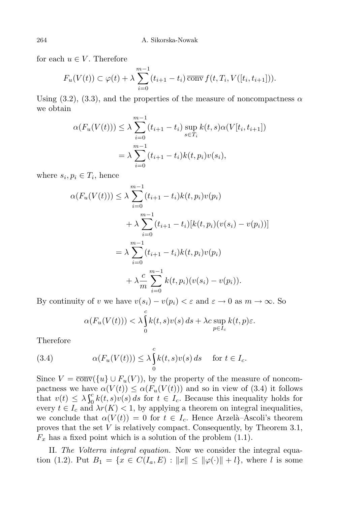for each  $u \in V$ . Therefore

$$
F_u(V(t)) \subset \varphi(t) + \lambda \sum_{i=0}^{m-1} (t_{i+1} - t_i) \overline{\text{conv}} \, f(t, T_i, V([t_i, t_{i+1}])).
$$

Using  $(3.2)$ ,  $(3.3)$ , and the properties of the measure of noncompactness  $\alpha$ we obtain

$$
\alpha(F_u(V(t))) \le \lambda \sum_{i=0}^{m-1} (t_{i+1} - t_i) \sup_{s \in T_i} k(t, s) \alpha(V[t_i, t_{i+1}])
$$
  
=  $\lambda \sum_{i=0}^{m-1} (t_{i+1} - t_i) k(t, p_i) v(s_i),$ 

where  $s_i, p_i \in T_i$ , hence

$$
\alpha(F_u(V(t))) \leq \lambda \sum_{i=0}^{m-1} (t_{i+1} - t_i)k(t, p_i)v(p_i)
$$
  
+ 
$$
\lambda \sum_{i=0}^{m-1} (t_{i+1} - t_i)[k(t, p_i)(v(s_i) - v(p_i))]
$$
  
= 
$$
\lambda \sum_{i=0}^{m-1} (t_{i+1} - t_i)k(t, p_i)v(p_i)
$$
  
+ 
$$
\lambda \frac{c}{m} \sum_{i=0}^{m-1} k(t, p_i)(v(s_i) - v(p_i)).
$$

By continuity of *v* we have  $v(s_i) - v(p_i) < \varepsilon$  and  $\varepsilon \to 0$  as  $m \to \infty$ . So

$$
\alpha(F_u(V(t))) < \lambda \int_0^c k(t,s)v(s) ds + \lambda c \sup_{p \in I_c} k(t,p)\varepsilon.
$$

Therefore

(3.4) 
$$
\alpha(F_u(V(t))) \leq \lambda \int_0^c k(t,s)v(s) ds \quad \text{for } t \in I_c.
$$

Since  $V = \overline{\text{conv}}(\{u\} \cup F_u(V))$ , by the property of the measure of noncompactness we have  $\alpha(V(t)) \leq \alpha(F_u(V(t)))$  and so in view of (3.4) it follows that  $v(t) \leq \lambda \int_0^c k(t)$  $\frac{\partial}{\partial} k(t,s)v(s) ds$  for  $t \in I_c$ . Because this inequality holds for every  $t \in I_c$  and  $\lambda r(K) < 1$ , by applying a theorem on integral inequalities, we conclude that  $\alpha(V(t)) = 0$  for  $t \in I_c$ . Hence Arzelà–Ascoli's theorem proves that the set *V* is relatively compact. Consequently, by Theorem 3.1,  $F_x$  has a fixed point which is a solution of the problem  $(1.1)$ .

II. *The Volterra integral equation.* Now we consider the integral equation (1.2). Put  $B_1 = \{x \in C(I_a, E) : ||x|| \le ||\varphi(\cdot)|| + l\}$ , where *l* is some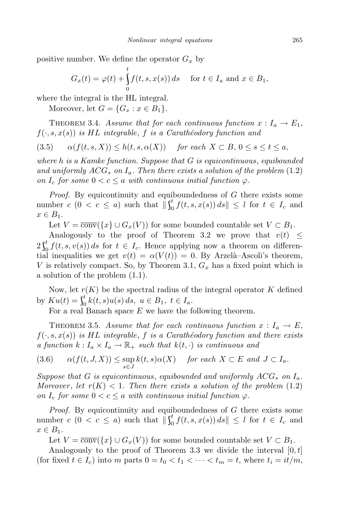positive number. We define the operator  $G_x$  by

$$
G_x(t) = \varphi(t) + \int_0^t f(t, s, x(s)) ds \quad \text{ for } t \in I_a \text{ and } x \in B_1,
$$

where the integral is the HL integral.

Moreover, let  $G = \{G_x : x \in B_1\}.$ 

THEOREM 3.4. *Assume that for each continuous function*  $x: I_a \to E_1$ ,  $f(\cdot, s, x(s))$  *is HL integrable*, *f is a Carathéodory function* and

$$
(3.5) \qquad \alpha(f(t,s,X)) \le h(t,s,\alpha(X)) \qquad \text{for each } X \subset B, \, 0 \le s \le t \le a,
$$

*where h is a Kamke function. Suppose that G is equicontinuous*, *equibounded and uniformly ACG<sup>∗</sup> on Ia. Then there exists a solution of the problem* (1.2) *on*  $I_c$  *for some*  $0 < c \le a$  *with continuous initial function*  $\varphi$ *.* 

*Proof.* By equicontinuity and equiboundedness of *G* there exists some number  $c$   $(0 < c \le a)$  such that  $\iint_0^t f(t, t)$  $\int_{0}^{t} f(t, s, x(s)) ds \leq l$  for  $t \in I_c$  and  $x \in B_1$ .

Let  $V = \overline{\text{conv}}(\{x\} \cup G_x(V))$  for some bounded countable set  $V \subset B_1$ .

Analogously to the proof of Theorem 3.2 we prove that  $v(t) \leq$  $2\int_0^t f(t,$  $\int_{0}^{t} f(t, s, v(s)) ds$  for  $t \in I_c$ . Hence applying now a theorem on differential inequalities we get  $v(t) = \alpha(V(t)) = 0$ . By Arzelà–Ascoli's theorem, *V* is relatively compact. So, by Theorem 3.1, *G<sup>x</sup>* has a fixed point which is a solution of the problem (1.1).

Now, let  $r(K)$  be the spectral radius of the integral operator  $K$  defined by  $Ku(t) = \int_0^t k(t,$  $\int_{0}^{t} k(t,s)u(s) ds, u \in B_1, t \in I_a.$ 

For a real Banach space *E* we have the following theorem.

THEOREM 3.5. *Assume that for each continuous function*  $x: I_a \to E$ ,  $f(\cdot, s, x(s))$  *is HL integrable*, *f is a Carathéodory function and there exists a function*  $k: I_a \times I_a \to \mathbb{R}_+$  *such that*  $k(t, \cdot)$  *is continuous and* 

(3.6) 
$$
\alpha(f(t, J, X)) \leq \sup_{s \in J} k(t, s) \alpha(X)
$$
 for each  $X \subset E$  and  $J \subset I_a$ .

*Suppose that G is equicontinuous*, *equibounded and uniformly ACG<sup>∗</sup> on Ia. Moreover*, *let*  $r(K) < 1$ *. Then there exists a solution of the problem*  $(1.2)$ *on*  $I_c$  *for some*  $0 < c \le a$  *with continuous initial function*  $\varphi$ *.* 

*Proof.* By equicontinuity and equiboundedness of *G* there exists some number  $c$  ( $0 < c \le a$ ) such that  $\iint_0^t f(t, t)$  $\int_0^t f(t, s, x(s)) ds \leq l$  for  $t \in I_c$  and  $x \in B_1$ .

Let  $V = \overline{\text{conv}}(\{x\} \cup G_x(V))$  for some bounded countable set  $V \subset B_1$ .

Analogously to the proof of Theorem 3.3 we divide the interval [0*,t*] (for fixed  $t \in I_c$ ) into  $m$  parts  $0 = t_0 < t_1 < \cdots < t_m = t$ , where  $t_i = it/m$ ,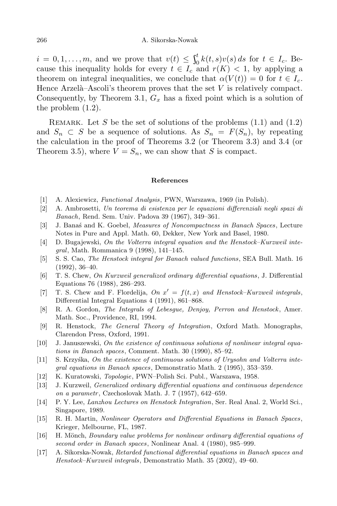$i = 0, 1, \ldots, m$ , and we prove that  $v(t) \leq \int_0^t k(t, t)$  $\int_0^t k(t,s)v(s) ds$  for  $t \in I_c$ . Because this inequality holds for every  $t \in I_c$  and  $r(K) < 1$ , by applying a theorem on integral inequalities, we conclude that  $\alpha(V(t)) = 0$  for  $t \in I_c$ . Hence Arzelà–Ascoli's theorem proves that the set  $V$  is relatively compact. Consequently, by Theorem 3.1, *G<sup>x</sup>* has a fixed point which is a solution of the problem (1.2).

REMARK. Let *S* be the set of solutions of the problems  $(1.1)$  and  $(1.2)$ and  $S_n \subset S$  be a sequence of solutions. As  $S_n = F(S_n)$ , by repeating the calculation in the proof of Theorems 3.2 (or Theorem 3.3) and 3.4 (or Theorem 3.5), where  $V = S_n$ , we can show that *S* is compact.

## **References**

- [1] A. Alexiewicz, *Functional Analysis*, PWN, Warszawa, 1969 (in Polish).
- [2] A. Ambrosetti, *Un teorema di esistenza per le equazioni differenziali negli spazi di Banach*, Rend. Sem. Univ. Padova 39 (1967), 349–361.
- [3] J. Banaś and K. Goebel, *Measures of Noncompactness in Banach Spaces*, Lecture Notes in Pure and Appl. Math. 60, Dekker, New York and Basel, 1980.
- [4] D. Bugajewski, *On the Volterra integral equation and the Henstock–Kurzweil integral*, Math. Rommanica 9 (1998), 141–145.
- [5] S. S. Cao, *The Henstock integral for Banach valued functions*, SEA Bull. Math. 16 (1992), 36–40.
- [6] T. S. Chew, *On Kurzweil generalized ordinary differential equations*, J. Differential Equations 76 (1988), 286–293.
- [7] T. S. Chew and F. Flordelija,  $On \ x' = f(t, x)$  and Henstock–Kurzweil integrals, Differential Integral Equations 4 (1991), 861–868.
- [8] R. A. Gordon, *The Integrals of Lebesgue, Denjoy, Perron and Henstock*, Amer. Math. Soc., Providence, RI, 1994.
- [9] R. Henstock, *The General Theory of Integration*, Oxford Math. Monographs, Clarendon Press, Oxford, 1991.
- [10] J. Januszewski, *On the existence of continuous solutions of nonlinear integral equations in Banach spaces*, Comment. Math. 30 (1990), 85–92.
- [11] S. Krzyśka, *On the existence of continuous solutions of Urysohn and Volterra integral equations in Banach spaces*, Demonstratio Math. 2 (1995), 353–359.
- [12] K. Kuratowski, *Topologie*, PWN–Polish Sci. Publ., Warszawa, 1958.
- [13] J. Kurzweil, *Generalized ordinary differential equations and continuous dependence on a parametr*, Czechoslovak Math. J. 7 (1957), 642–659.
- [14] P. Y. Lee, *Lanzhou Lectures on Henstock Integration*, Ser. Real Anal. 2, World Sci., Singapore, 1989.
- [15] R. H. Martin, *Nonlinear Operators and Differential Equations in Banach Spaces*, Krieger, Melbourne, FL, 1987.
- [16] H. M¨onch, *Boundary value problems for nonlinear ordinary differential equations of second order in Banach spaces*, Nonlinear Anal. 4 (1980), 985–999.
- [17] A. Sikorska-Nowak, *Retarded functional differential equations in Banach spaces and Henstock–Kurzweil integrals*, Demonstratio Math. 35 (2002), 49–60.